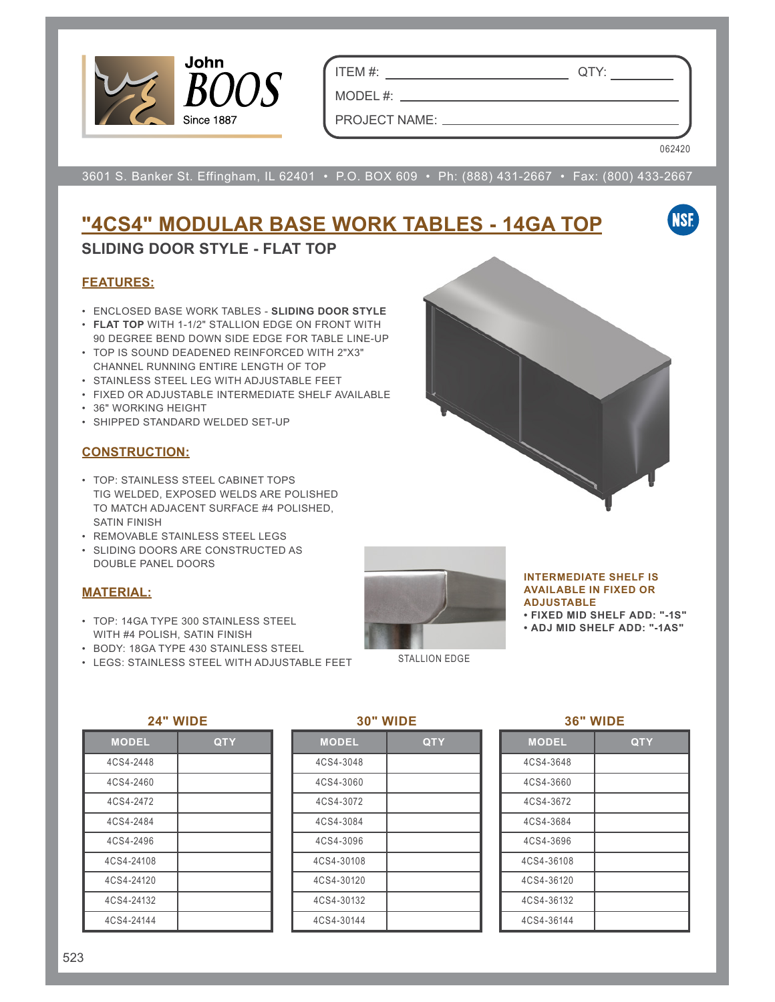

ITEM #: QTY:

MODEL #: \_\_ PROJECT NAME:

062420

**NSF** 

3601 S. Banker St. Effingham, IL 62401 • P.O. BOX 609 • Ph: (888) 431-2667 • Fax: (800) 433-2667

# **"4CS4" MODULAR BASE WORK TABLES - 14GA TOP**

## **SLIDING DOOR STYLE - FLAT TOP**

## **FEATURES:**

- ENCLOSED BASE WORK TABLES **SLIDING DOOR STYLE**
- **FLAT TOP** WITH 1-1/2" STALLION EDGE ON FRONT WITH 90 DEGREE BEND DOWN SIDE EDGE FOR TABLE LINE-UP
- TOP IS SOUND DEADENED REINFORCED WITH 2"X3" CHANNEL RUNNING ENTIRE LENGTH OF TOP
- STAINLESS STEEL LEG WITH ADJUSTABLE FEET
- FIXED OR ADJUSTABLE INTERMEDIATE SHELF AVAILABLE
- 36" WORKING HEIGHT
- SHIPPED STANDARD WELDED SET-UP

## **CONSTRUCTION:**

- TOP: STAINLESS STEEL CABINET TOPS TIG WELDED, EXPOSED WELDS ARE POLISHED TO MATCH ADJACENT SURFACE #4 POLISHED, SATIN FINISH
- REMOVABLE STAINLESS STEEL LEGS
- SLIDING DOORS ARE CONSTRUCTED AS DOUBLE PANEL DOORS

## **MATERIAL:**

- TOP: 14GA TYPE 300 STAINLESS STEEL WITH #4 POLISH, SATIN FINISH
- BODY: 18GA TYPE 430 STAINLESS STEEL
- LEGS: STAINLESS STEEL WITH ADJUSTABLE FEET



#### **INTERMEDIATE SHELF IS AVAILABLE IN FIXED OR ADJUSTABLE**

**• FIXED MID SHELF ADD: "-1S"**

**• ADJ MID SHELF ADD: "-1AS"**

STALLION EDGE

### **24" WIDE**

| <b>MODEL</b> | <b>QTY</b> |
|--------------|------------|
| 4CS4-2448    |            |
| 4CS4-2460    |            |
| 4CS4-2472    |            |
| 4CS4-2484    |            |
| 4CS4-2496    |            |
| 4CS4-24108   |            |
| 4CS4-24120   |            |
| 4CS4-24132   |            |
| 4CS4-24144   |            |

#### **30" WIDE**

| <b>MODEL</b> | <b>QTY</b> |
|--------------|------------|
| 4CS4-3048    |            |
| 4CS4-3060    |            |
| 4CS4-3072    |            |
| 4CS4-3084    |            |
| 4CS4-3096    |            |
| 4CS4-30108   |            |
| 4CS4-30120   |            |
| 4CS4-30132   |            |
| 4CS4-30144   |            |

#### **36" WIDE**

| <b>MODEL</b> | QTY |
|--------------|-----|
| 4CS4-3648    |     |
| 4CS4-3660    |     |
| 4CS4-3672    |     |
| 4CS4-3684    |     |
| 4CS4-3696    |     |
| 4CS4-36108   |     |
| 4CS4-36120   |     |
| 4CS4-36132   |     |
| 4CS4-36144   |     |